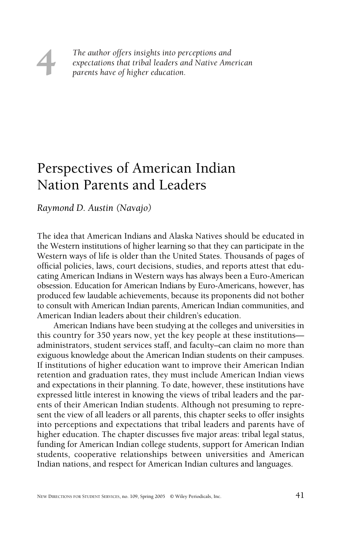

*The author offers insights into perceptions and expectations that tribal leaders and Native American parents have of higher education.*

# Perspectives of American Indian Nation Parents and Leaders

*Raymond D. Austin (Navajo)*

The idea that American Indians and Alaska Natives should be educated in the Western institutions of higher learning so that they can participate in the Western ways of life is older than the United States. Thousands of pages of official policies, laws, court decisions, studies, and reports attest that educating American Indians in Western ways has always been a Euro-American obsession. Education for American Indians by Euro-Americans, however, has produced few laudable achievements, because its proponents did not bother to consult with American Indian parents, American Indian communities, and American Indian leaders about their children's education.

American Indians have been studying at the colleges and universities in this country for 350 years now, yet the key people at these institutions administrators, student services staff, and faculty–can claim no more than exiguous knowledge about the American Indian students on their campuses. If institutions of higher education want to improve their American Indian retention and graduation rates, they must include American Indian views and expectations in their planning. To date, however, these institutions have expressed little interest in knowing the views of tribal leaders and the parents of their American Indian students. Although not presuming to represent the view of all leaders or all parents, this chapter seeks to offer insights into perceptions and expectations that tribal leaders and parents have of higher education. The chapter discusses five major areas: tribal legal status, funding for American Indian college students, support for American Indian students, cooperative relationships between universities and American Indian nations, and respect for American Indian cultures and languages.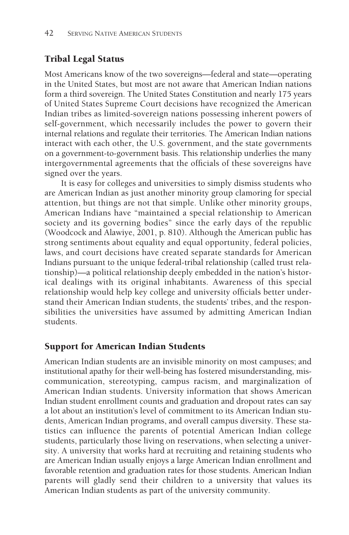## Tribal Legal Status

Most Americans know of the two sovereigns—federal and state—operating in the United States, but most are not aware that American Indian nations form a third sovereign. The United States Constitution and nearly 175 years of United States Supreme Court decisions have recognized the American Indian tribes as limited-sovereign nations possessing inherent powers of self-government, which necessarily includes the power to govern their internal relations and regulate their territories. The American Indian nations interact with each other, the U.S. government, and the state governments on a government-to-government basis. This relationship underlies the many intergovernmental agreements that the officials of these sovereigns have signed over the years.

It is easy for colleges and universities to simply dismiss students who are American Indian as just another minority group clamoring for special attention, but things are not that simple. Unlike other minority groups, American Indians have "maintained a special relationship to American society and its governing bodies" since the early days of the republic (Woodcock and Alawiye, 2001, p. 810). Although the American public has strong sentiments about equality and equal opportunity, federal policies, laws, and court decisions have created separate standards for American Indians pursuant to the unique federal-tribal relationship (called trust relationship)—a political relationship deeply embedded in the nation's historical dealings with its original inhabitants. Awareness of this special relationship would help key college and university officials better understand their American Indian students, the students' tribes, and the responsibilities the universities have assumed by admitting American Indian students.

## Support for American Indian Students

American Indian students are an invisible minority on most campuses; and institutional apathy for their well-being has fostered misunderstanding, miscommunication, stereotyping, campus racism, and marginalization of American Indian students. University information that shows American Indian student enrollment counts and graduation and dropout rates can say a lot about an institution's level of commitment to its American Indian students, American Indian programs, and overall campus diversity. These statistics can influence the parents of potential American Indian college students, particularly those living on reservations, when selecting a university. A university that works hard at recruiting and retaining students who are American Indian usually enjoys a large American Indian enrollment and favorable retention and graduation rates for those students. American Indian parents will gladly send their children to a university that values its American Indian students as part of the university community.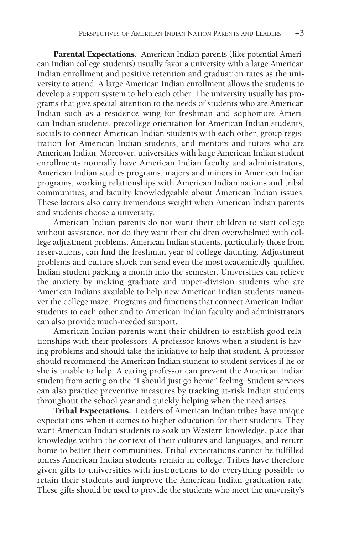Parental Expectations. American Indian parents (like potential American Indian college students) usually favor a university with a large American Indian enrollment and positive retention and graduation rates as the university to attend. A large American Indian enrollment allows the students to develop a support system to help each other. The university usually has programs that give special attention to the needs of students who are American Indian such as a residence wing for freshman and sophomore American Indian students, precollege orientation for American Indian students, socials to connect American Indian students with each other, group registration for American Indian students, and mentors and tutors who are American Indian. Moreover, universities with large American Indian student enrollments normally have American Indian faculty and administrators, American Indian studies programs, majors and minors in American Indian programs, working relationships with American Indian nations and tribal communities, and faculty knowledgeable about American Indian issues. These factors also carry tremendous weight when American Indian parents and students choose a university.

American Indian parents do not want their children to start college without assistance, nor do they want their children overwhelmed with college adjustment problems. American Indian students, particularly those from reservations, can find the freshman year of college daunting. Adjustment problems and culture shock can send even the most academically qualified Indian student packing a month into the semester. Universities can relieve the anxiety by making graduate and upper-division students who are American Indians available to help new American Indian students maneuver the college maze. Programs and functions that connect American Indian students to each other and to American Indian faculty and administrators can also provide much-needed support.

American Indian parents want their children to establish good relationships with their professors. A professor knows when a student is having problems and should take the initiative to help that student. A professor should recommend the American Indian student to student services if he or she is unable to help. A caring professor can prevent the American Indian student from acting on the "I should just go home" feeling. Student services can also practice preventive measures by tracking at-risk Indian students throughout the school year and quickly helping when the need arises.

Tribal Expectations. Leaders of American Indian tribes have unique expectations when it comes to higher education for their students. They want American Indian students to soak up Western knowledge, place that knowledge within the context of their cultures and languages, and return home to better their communities. Tribal expectations cannot be fulfilled unless American Indian students remain in college. Tribes have therefore given gifts to universities with instructions to do everything possible to retain their students and improve the American Indian graduation rate. These gifts should be used to provide the students who meet the university's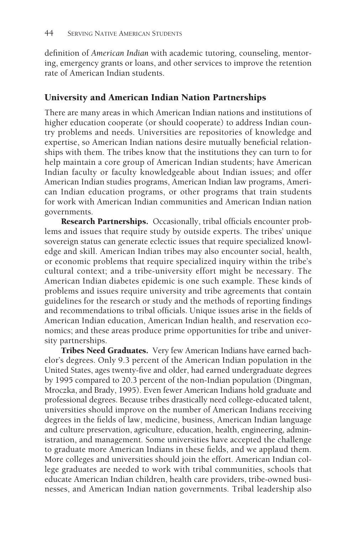definition of *American Indian* with academic tutoring, counseling, mentoring, emergency grants or loans, and other services to improve the retention rate of American Indian students.

## University and American Indian Nation Partnerships

There are many areas in which American Indian nations and institutions of higher education cooperate (or should cooperate) to address Indian country problems and needs. Universities are repositories of knowledge and expertise, so American Indian nations desire mutually beneficial relationships with them. The tribes know that the institutions they can turn to for help maintain a core group of American Indian students; have American Indian faculty or faculty knowledgeable about Indian issues; and offer American Indian studies programs, American Indian law programs, American Indian education programs, or other programs that train students for work with American Indian communities and American Indian nation governments.

Research Partnerships. Occasionally, tribal officials encounter problems and issues that require study by outside experts. The tribes' unique sovereign status can generate eclectic issues that require specialized knowledge and skill. American Indian tribes may also encounter social, health, or economic problems that require specialized inquiry within the tribe's cultural context; and a tribe-university effort might be necessary. The American Indian diabetes epidemic is one such example. These kinds of problems and issues require university and tribe agreements that contain guidelines for the research or study and the methods of reporting findings and recommendations to tribal officials. Unique issues arise in the fields of American Indian education, American Indian health, and reservation economics; and these areas produce prime opportunities for tribe and university partnerships.

Tribes Need Graduates. Very few American Indians have earned bachelor's degrees. Only 9.3 percent of the American Indian population in the United States, ages twenty-five and older, had earned undergraduate degrees by 1995 compared to 20.3 percent of the non-Indian population (Dingman, Mroczka, and Brady, 1995). Even fewer American Indians hold graduate and professional degrees. Because tribes drastically need college-educated talent, universities should improve on the number of American Indians receiving degrees in the fields of law, medicine, business, American Indian language and culture preservation, agriculture, education, health, engineering, administration, and management. Some universities have accepted the challenge to graduate more American Indians in these fields, and we applaud them. More colleges and universities should join the effort. American Indian college graduates are needed to work with tribal communities, schools that educate American Indian children, health care providers, tribe-owned businesses, and American Indian nation governments. Tribal leadership also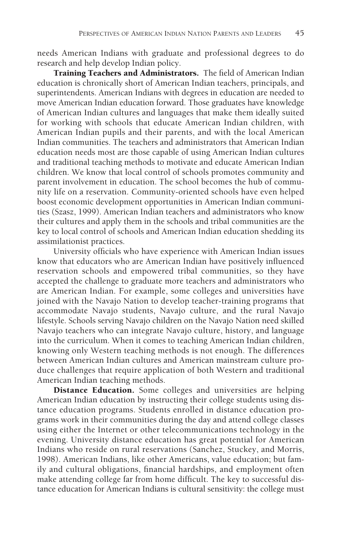needs American Indians with graduate and professional degrees to do research and help develop Indian policy.

Training Teachers and Administrators. The field of American Indian education is chronically short of American Indian teachers, principals, and superintendents. American Indians with degrees in education are needed to move American Indian education forward. Those graduates have knowledge of American Indian cultures and languages that make them ideally suited for working with schools that educate American Indian children, with American Indian pupils and their parents, and with the local American Indian communities. The teachers and administrators that American Indian education needs most are those capable of using American Indian cultures and traditional teaching methods to motivate and educate American Indian children. We know that local control of schools promotes community and parent involvement in education. The school becomes the hub of community life on a reservation. Community-oriented schools have even helped boost economic development opportunities in American Indian communities (Szasz, 1999). American Indian teachers and administrators who know their cultures and apply them in the schools and tribal communities are the key to local control of schools and American Indian education shedding its assimilationist practices.

University officials who have experience with American Indian issues know that educators who are American Indian have positively influenced reservation schools and empowered tribal communities, so they have accepted the challenge to graduate more teachers and administrators who are American Indian. For example, some colleges and universities have joined with the Navajo Nation to develop teacher-training programs that accommodate Navajo students, Navajo culture, and the rural Navajo lifestyle. Schools serving Navajo children on the Navajo Nation need skilled Navajo teachers who can integrate Navajo culture, history, and language into the curriculum. When it comes to teaching American Indian children, knowing only Western teaching methods is not enough. The differences between American Indian cultures and American mainstream culture produce challenges that require application of both Western and traditional American Indian teaching methods.

Distance Education. Some colleges and universities are helping American Indian education by instructing their college students using distance education programs. Students enrolled in distance education programs work in their communities during the day and attend college classes using either the Internet or other telecommunications technology in the evening. University distance education has great potential for American Indians who reside on rural reservations (Sanchez, Stuckey, and Morris, 1998). American Indians, like other Americans, value education; but family and cultural obligations, financial hardships, and employment often make attending college far from home difficult. The key to successful distance education for American Indians is cultural sensitivity: the college must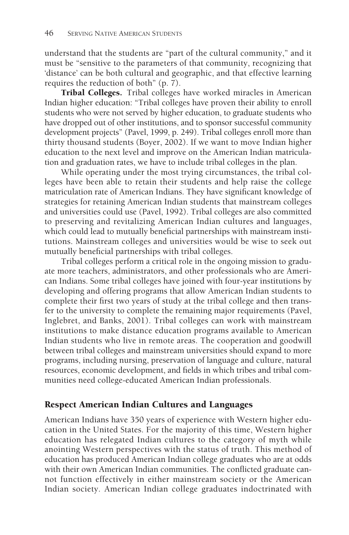understand that the students are "part of the cultural community," and it must be "sensitive to the parameters of that community, recognizing that 'distance' can be both cultural and geographic, and that effective learning requires the reduction of both" (p. 7).

Tribal Colleges. Tribal colleges have worked miracles in American Indian higher education: "Tribal colleges have proven their ability to enroll students who were not served by higher education, to graduate students who have dropped out of other institutions, and to sponsor successful community development projects" (Pavel, 1999, p. 249). Tribal colleges enroll more than thirty thousand students (Boyer, 2002). If we want to move Indian higher education to the next level and improve on the American Indian matriculation and graduation rates, we have to include tribal colleges in the plan.

While operating under the most trying circumstances, the tribal colleges have been able to retain their students and help raise the college matriculation rate of American Indians. They have significant knowledge of strategies for retaining American Indian students that mainstream colleges and universities could use (Pavel, 1992). Tribal colleges are also committed to preserving and revitalizing American Indian cultures and languages, which could lead to mutually beneficial partnerships with mainstream institutions. Mainstream colleges and universities would be wise to seek out mutually beneficial partnerships with tribal colleges.

Tribal colleges perform a critical role in the ongoing mission to graduate more teachers, administrators, and other professionals who are American Indians. Some tribal colleges have joined with four-year institutions by developing and offering programs that allow American Indian students to complete their first two years of study at the tribal college and then transfer to the university to complete the remaining major requirements (Pavel, Inglebret, and Banks, 2001). Tribal colleges can work with mainstream institutions to make distance education programs available to American Indian students who live in remote areas. The cooperation and goodwill between tribal colleges and mainstream universities should expand to more programs, including nursing, preservation of language and culture, natural resources, economic development, and fields in which tribes and tribal communities need college-educated American Indian professionals.

### Respect American Indian Cultures and Languages

American Indians have 350 years of experience with Western higher education in the United States. For the majority of this time, Western higher education has relegated Indian cultures to the category of myth while anointing Western perspectives with the status of truth. This method of education has produced American Indian college graduates who are at odds with their own American Indian communities. The conflicted graduate cannot function effectively in either mainstream society or the American Indian society. American Indian college graduates indoctrinated with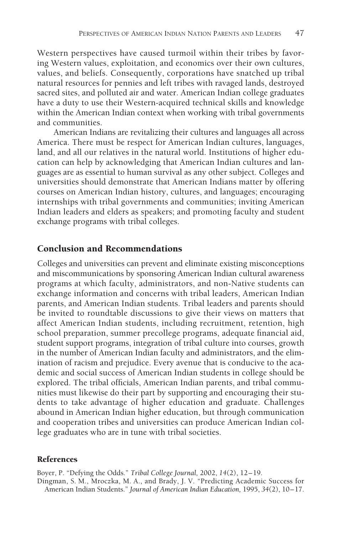Western perspectives have caused turmoil within their tribes by favoring Western values, exploitation, and economics over their own cultures, values, and beliefs. Consequently, corporations have snatched up tribal natural resources for pennies and left tribes with ravaged lands, destroyed sacred sites, and polluted air and water. American Indian college graduates have a duty to use their Western-acquired technical skills and knowledge within the American Indian context when working with tribal governments and communities.

American Indians are revitalizing their cultures and languages all across America. There must be respect for American Indian cultures, languages, land, and all our relatives in the natural world. Institutions of higher education can help by acknowledging that American Indian cultures and languages are as essential to human survival as any other subject. Colleges and universities should demonstrate that American Indians matter by offering courses on American Indian history, cultures, and languages; encouraging internships with tribal governments and communities; inviting American Indian leaders and elders as speakers; and promoting faculty and student exchange programs with tribal colleges.

#### Conclusion and Recommendations

Colleges and universities can prevent and eliminate existing misconceptions and miscommunications by sponsoring American Indian cultural awareness programs at which faculty, administrators, and non-Native students can exchange information and concerns with tribal leaders, American Indian parents, and American Indian students. Tribal leaders and parents should be invited to roundtable discussions to give their views on matters that affect American Indian students, including recruitment, retention, high school preparation, summer precollege programs, adequate financial aid, student support programs, integration of tribal culture into courses, growth in the number of American Indian faculty and administrators, and the elimination of racism and prejudice. Every avenue that is conducive to the academic and social success of American Indian students in college should be explored. The tribal officials, American Indian parents, and tribal communities must likewise do their part by supporting and encouraging their students to take advantage of higher education and graduate. Challenges abound in American Indian higher education, but through communication and cooperation tribes and universities can produce American Indian college graduates who are in tune with tribal societies.

#### References

Boyer, P. "Defying the Odds." *Tribal College Journal,* 2002, *14*(2), 12–19. Dingman, S. M., Mroczka, M. A., and Brady, J. V. "Predicting Academic Success for American Indian Students." *Journal of American Indian Education,* 1995, *34*(2), 10–17.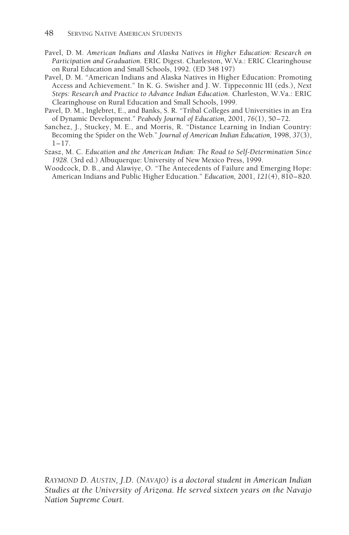- Pavel, D. M. *American Indians and Alaska Natives in Higher Education: Research on Participation and Graduation.* ERIC Digest. Charleston, W.Va.: ERIC Clearinghouse on Rural Education and Small Schools, 1992. (ED 348 197)
- Pavel, D. M. "American Indians and Alaska Natives in Higher Education: Promoting Access and Achievement." In K. G. Swisher and J. W. Tippeconnic III (eds.), *Next Steps: Research and Practice to Advance Indian Education.* Charleston, W.Va.: ERIC Clearinghouse on Rural Education and Small Schools, 1999.
- Pavel, D. M., Inglebret, E., and Banks, S. R. "Tribal Colleges and Universities in an Era of Dynamic Development." *Peabody Journal of Education,* 2001, *76*(1), 50–72.
- Sanchez, J., Stuckey, M. E., and Morris, R. "Distance Learning in Indian Country: Becoming the Spider on the Web." *Journal of American Indian Education,* 1998, *37*(3), 1–17.
- Szasz, M. C. *Education and the American Indian: The Road to Self-Determination Since 1928.* (3rd ed.) Albuquerque: University of New Mexico Press, 1999.
- Woodcock, D. B., and Alawiye, O. "The Antecedents of Failure and Emerging Hope: American Indians and Public Higher Education." *Education,* 2001, *121*(4), 810–820.

*RAYMOND D. AUSTIN, J.D. (NAVAJO) is a doctoral student in American Indian Studies at the University of Arizona. He served sixteen years on the Navajo Nation Supreme Court.*